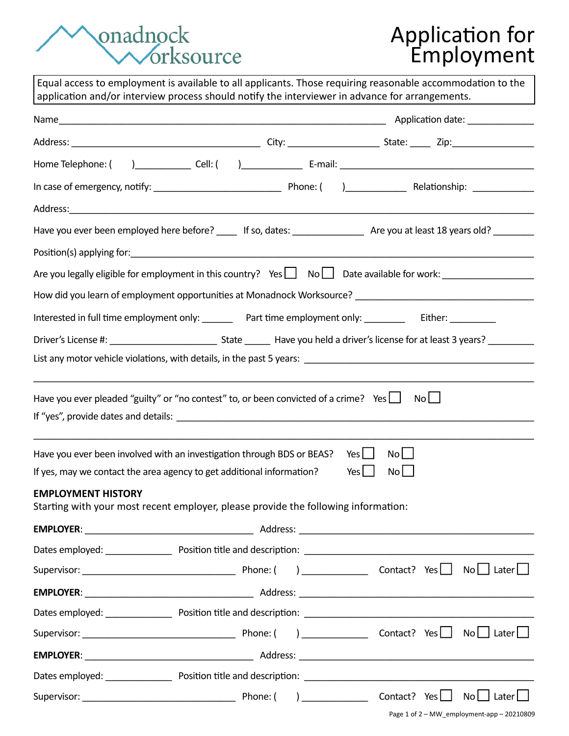## onadnock<br>Vorksource

## Application for Employment

|                                                                                                                                                 |  | Equal access to employment is available to all applicants. Those requiring reasonable accommodation to the<br>application and/or interview process should notify the interviewer in advance for arrangements. |
|-------------------------------------------------------------------------------------------------------------------------------------------------|--|---------------------------------------------------------------------------------------------------------------------------------------------------------------------------------------------------------------|
|                                                                                                                                                 |  |                                                                                                                                                                                                               |
|                                                                                                                                                 |  |                                                                                                                                                                                                               |
|                                                                                                                                                 |  |                                                                                                                                                                                                               |
|                                                                                                                                                 |  |                                                                                                                                                                                                               |
|                                                                                                                                                 |  |                                                                                                                                                                                                               |
|                                                                                                                                                 |  | Have you ever been employed here before? _____ If so, dates: ___________________ Are you at least 18 years old? _________                                                                                     |
|                                                                                                                                                 |  |                                                                                                                                                                                                               |
|                                                                                                                                                 |  | Are you legally eligible for employment in this country? Yes   No   Date available for work: _________________                                                                                                |
|                                                                                                                                                 |  |                                                                                                                                                                                                               |
|                                                                                                                                                 |  | Interested in full time employment only: _________ Part time employment only: ______________ Either: _________                                                                                                |
|                                                                                                                                                 |  |                                                                                                                                                                                                               |
|                                                                                                                                                 |  |                                                                                                                                                                                                               |
| Have you ever pleaded "guilty" or "no contest" to, or been convicted of a crime? Yes $\Box$                                                     |  | No                                                                                                                                                                                                            |
|                                                                                                                                                 |  |                                                                                                                                                                                                               |
|                                                                                                                                                 |  | No<br>Yes $\Box$                                                                                                                                                                                              |
| Have you ever been involved with an investigation through BDS or BEAS?<br>If yes, may we contact the area agency to get additional information? |  | No<br>Yes $\Box$                                                                                                                                                                                              |
| <b>EMPLOYMENT HISTORY</b><br>Starting with your most recent employer, please provide the following information:                                 |  |                                                                                                                                                                                                               |
|                                                                                                                                                 |  |                                                                                                                                                                                                               |
|                                                                                                                                                 |  |                                                                                                                                                                                                               |
|                                                                                                                                                 |  |                                                                                                                                                                                                               |
|                                                                                                                                                 |  |                                                                                                                                                                                                               |
|                                                                                                                                                 |  | Dates employed: Position title and description: Dates employed: North American States employed:                                                                                                               |
|                                                                                                                                                 |  |                                                                                                                                                                                                               |
|                                                                                                                                                 |  |                                                                                                                                                                                                               |
|                                                                                                                                                 |  |                                                                                                                                                                                                               |